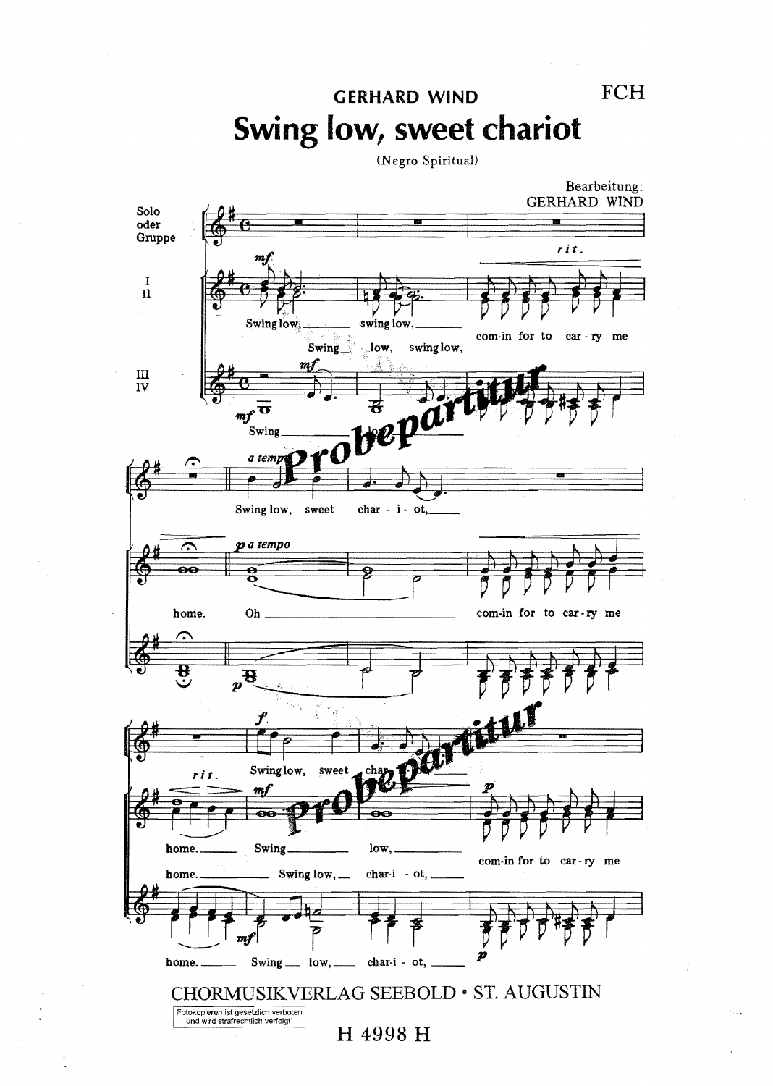